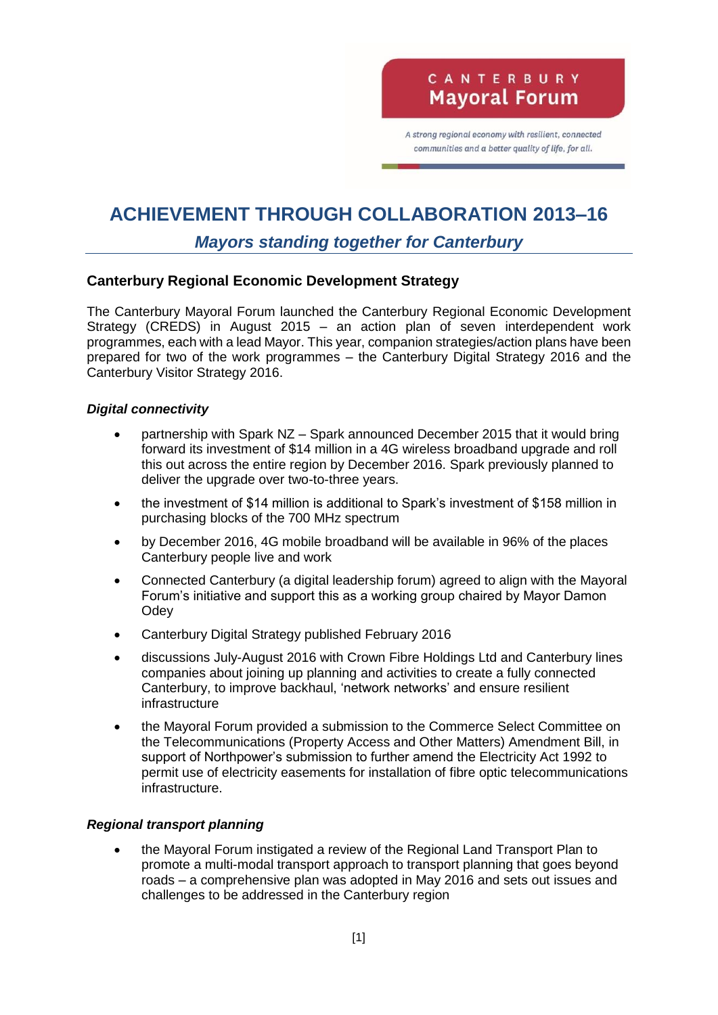A strong regional economy with resilient, connected communities and a better quality of life, for all.

# **ACHIEVEMENT THROUGH COLLABORATION 2013–16**

## *Mayors standing together for Canterbury*

## **Canterbury Regional Economic Development Strategy**

The Canterbury Mayoral Forum launched the Canterbury Regional Economic Development Strategy (CREDS) in August 2015 – an action plan of seven interdependent work programmes, each with a lead Mayor. This year, companion strategies/action plans have been prepared for two of the work programmes – the Canterbury Digital Strategy 2016 and the Canterbury Visitor Strategy 2016.

### *Digital connectivity*

- partnership with Spark NZ Spark announced December 2015 that it would bring forward its investment of \$14 million in a 4G wireless broadband upgrade and roll this out across the entire region by December 2016. Spark previously planned to deliver the upgrade over two-to-three years.
- the investment of \$14 million is additional to Spark's investment of \$158 million in purchasing blocks of the 700 MHz spectrum
- by December 2016, 4G mobile broadband will be available in 96% of the places Canterbury people live and work
- Connected Canterbury (a digital leadership forum) agreed to align with the Mayoral Forum's initiative and support this as a working group chaired by Mayor Damon **Odev**
- Canterbury Digital Strategy published February 2016
- discussions July-August 2016 with Crown Fibre Holdings Ltd and Canterbury lines companies about joining up planning and activities to create a fully connected Canterbury, to improve backhaul, 'network networks' and ensure resilient infrastructure
- the Mayoral Forum provided a submission to the Commerce Select Committee on the Telecommunications (Property Access and Other Matters) Amendment Bill, in support of Northpower's submission to further amend the Electricity Act 1992 to permit use of electricity easements for installation of fibre optic telecommunications infrastructure.

## *Regional transport planning*

 the Mayoral Forum instigated a review of the Regional Land Transport Plan to promote a multi-modal transport approach to transport planning that goes beyond roads – a comprehensive plan was adopted in May 2016 and sets out issues and challenges to be addressed in the Canterbury region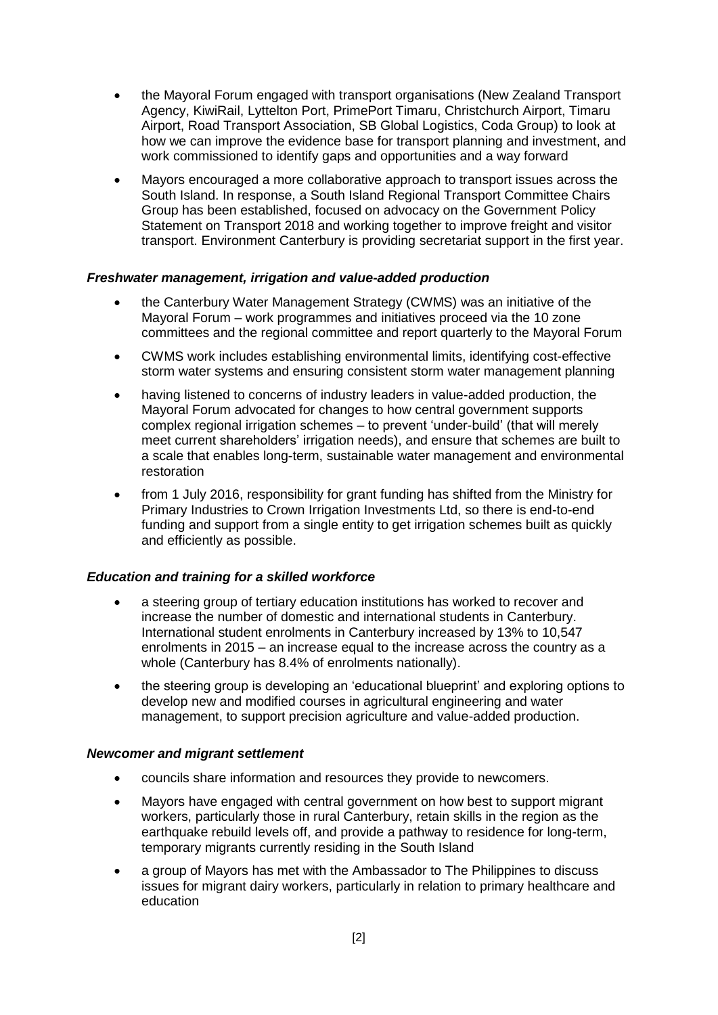- the Mayoral Forum engaged with transport organisations (New Zealand Transport Agency, KiwiRail, Lyttelton Port, PrimePort Timaru, Christchurch Airport, Timaru Airport, Road Transport Association, SB Global Logistics, Coda Group) to look at how we can improve the evidence base for transport planning and investment, and work commissioned to identify gaps and opportunities and a way forward
- Mayors encouraged a more collaborative approach to transport issues across the South Island. In response, a South Island Regional Transport Committee Chairs Group has been established, focused on advocacy on the Government Policy Statement on Transport 2018 and working together to improve freight and visitor transport. Environment Canterbury is providing secretariat support in the first year.

#### *Freshwater management, irrigation and value-added production*

- the Canterbury Water Management Strategy (CWMS) was an initiative of the Mayoral Forum – work programmes and initiatives proceed via the 10 zone committees and the regional committee and report quarterly to the Mayoral Forum
- CWMS work includes establishing environmental limits, identifying cost-effective storm water systems and ensuring consistent storm water management planning
- having listened to concerns of industry leaders in value-added production, the Mayoral Forum advocated for changes to how central government supports complex regional irrigation schemes – to prevent 'under-build' (that will merely meet current shareholders' irrigation needs), and ensure that schemes are built to a scale that enables long-term, sustainable water management and environmental restoration
- from 1 July 2016, responsibility for grant funding has shifted from the Ministry for Primary Industries to Crown Irrigation Investments Ltd, so there is end-to-end funding and support from a single entity to get irrigation schemes built as quickly and efficiently as possible.

#### *Education and training for a skilled workforce*

- a steering group of tertiary education institutions has worked to recover and increase the number of domestic and international students in Canterbury. International student enrolments in Canterbury increased by 13% to 10,547 enrolments in 2015 – an increase equal to the increase across the country as a whole (Canterbury has 8.4% of enrolments nationally).
- the steering group is developing an 'educational blueprint' and exploring options to develop new and modified courses in agricultural engineering and water management, to support precision agriculture and value-added production.

#### *Newcomer and migrant settlement*

- councils share information and resources they provide to newcomers.
- Mayors have engaged with central government on how best to support migrant workers, particularly those in rural Canterbury, retain skills in the region as the earthquake rebuild levels off, and provide a pathway to residence for long-term, temporary migrants currently residing in the South Island
- a group of Mayors has met with the Ambassador to The Philippines to discuss issues for migrant dairy workers, particularly in relation to primary healthcare and education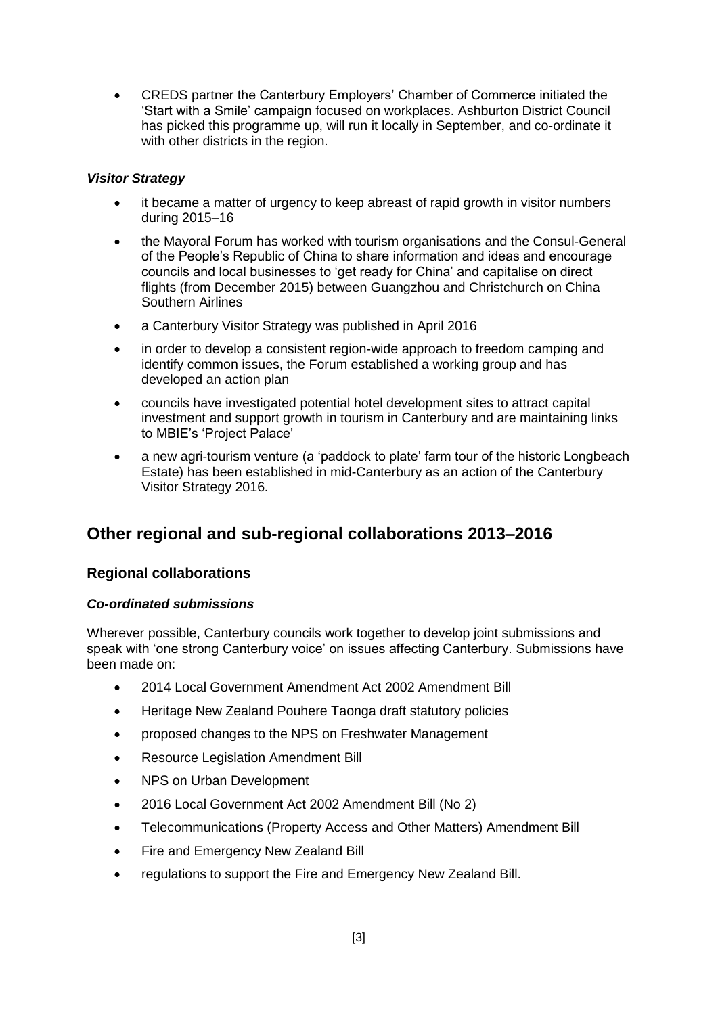CREDS partner the Canterbury Employers' Chamber of Commerce initiated the 'Start with a Smile' campaign focused on workplaces. Ashburton District Council has picked this programme up, will run it locally in September, and co-ordinate it with other districts in the region.

### *Visitor Strategy*

- it became a matter of urgency to keep abreast of rapid growth in visitor numbers during 2015–16
- the Mayoral Forum has worked with tourism organisations and the Consul-General of the People's Republic of China to share information and ideas and encourage councils and local businesses to 'get ready for China' and capitalise on direct flights (from December 2015) between Guangzhou and Christchurch on China Southern Airlines
- a Canterbury Visitor Strategy was published in April 2016
- in order to develop a consistent region-wide approach to freedom camping and identify common issues, the Forum established a working group and has developed an action plan
- councils have investigated potential hotel development sites to attract capital investment and support growth in tourism in Canterbury and are maintaining links to MBIE's 'Project Palace'
- a new agri-tourism venture (a 'paddock to plate' farm tour of the historic Longbeach Estate) has been established in mid-Canterbury as an action of the Canterbury Visitor Strategy 2016.

## **Other regional and sub-regional collaborations 2013–2016**

## **Regional collaborations**

#### *Co-ordinated submissions*

Wherever possible, Canterbury councils work together to develop joint submissions and speak with 'one strong Canterbury voice' on issues affecting Canterbury. Submissions have been made on:

- 2014 Local Government Amendment Act 2002 Amendment Bill
- Heritage New Zealand Pouhere Taonga draft statutory policies
- proposed changes to the NPS on Freshwater Management
- Resource Legislation Amendment Bill
- NPS on Urban Development
- 2016 Local Government Act 2002 Amendment Bill (No 2)
- Telecommunications (Property Access and Other Matters) Amendment Bill
- Fire and Emergency New Zealand Bill
- regulations to support the Fire and Emergency New Zealand Bill.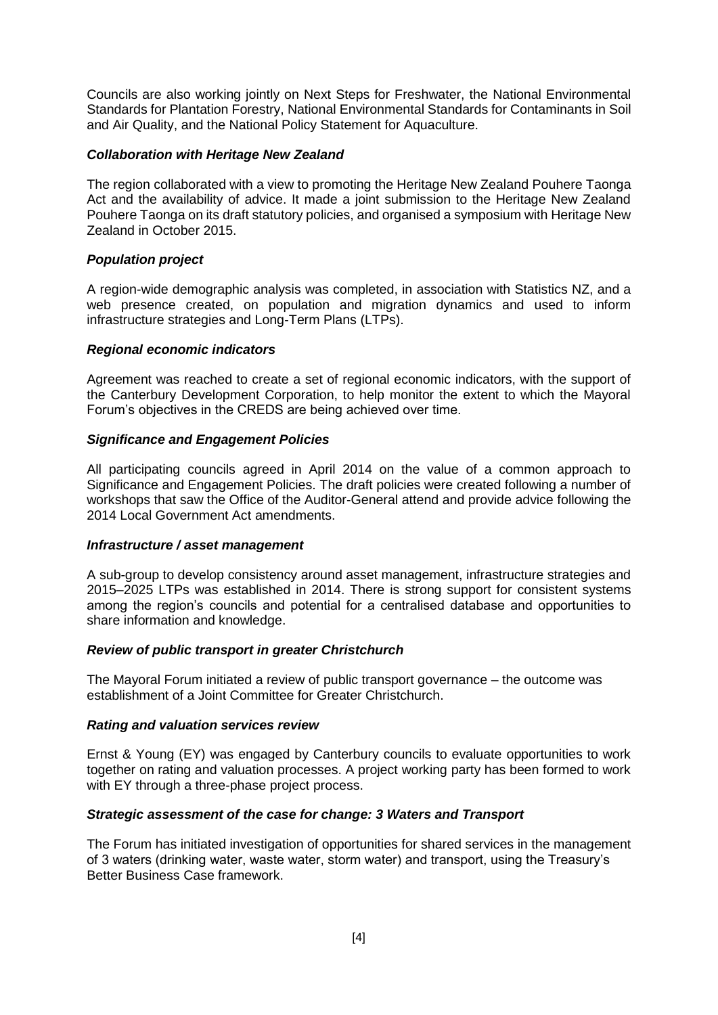Councils are also working jointly on Next Steps for Freshwater, the National Environmental Standards for Plantation Forestry, National Environmental Standards for Contaminants in Soil and Air Quality, and the National Policy Statement for Aquaculture.

#### *Collaboration with Heritage New Zealand*

The region collaborated with a view to promoting the Heritage New Zealand Pouhere Taonga Act and the availability of advice. It made a joint submission to the Heritage New Zealand Pouhere Taonga on its draft statutory policies, and organised a symposium with Heritage New Zealand in October 2015.

#### *Population project*

A region-wide demographic analysis was completed, in association with Statistics NZ, and a web presence created, on population and migration dynamics and used to inform infrastructure strategies and Long-Term Plans (LTPs).

#### *Regional economic indicators*

Agreement was reached to create a set of regional economic indicators, with the support of the Canterbury Development Corporation, to help monitor the extent to which the Mayoral Forum's objectives in the CREDS are being achieved over time.

#### *Significance and Engagement Policies*

All participating councils agreed in April 2014 on the value of a common approach to Significance and Engagement Policies. The draft policies were created following a number of workshops that saw the Office of the Auditor-General attend and provide advice following the 2014 Local Government Act amendments.

#### *Infrastructure / asset management*

A sub-group to develop consistency around asset management, infrastructure strategies and 2015–2025 LTPs was established in 2014. There is strong support for consistent systems among the region's councils and potential for a centralised database and opportunities to share information and knowledge.

#### *Review of public transport in greater Christchurch*

The Mayoral Forum initiated a review of public transport governance – the outcome was establishment of a Joint Committee for Greater Christchurch.

#### *Rating and valuation services review*

Ernst & Young (EY) was engaged by Canterbury councils to evaluate opportunities to work together on rating and valuation processes. A project working party has been formed to work with EY through a three-phase project process.

#### *Strategic assessment of the case for change: 3 Waters and Transport*

The Forum has initiated investigation of opportunities for shared services in the management of 3 waters (drinking water, waste water, storm water) and transport, using the Treasury's Better Business Case framework.